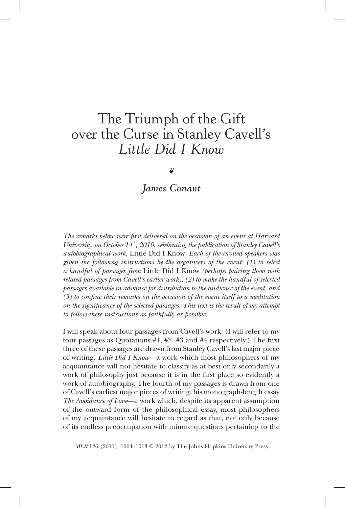# The Triumph of the Gift over the Curse in Stanley Cavell's *Little Did I Know*

❦

*James Conant*

*The remarks below were first delivered on the occasion of an event at Harvard University, on October 14th, 2010, celebrating the publication of Stanley Cavell's autobiographical work,* Little Did I Know*. Each of the invited speakers was given the following instructions by the organizers of the event: (1) to select a handful of passages from* Little Did I Know *(perhaps pairing them with related passages from Cavell's earlier work), (2) to make the handful of selected passages available in advance for distribution to the audience of the event, and (3) to confine their remarks on the occasion of the event itself to a meditation on the significance of the selected passages. This text is the result of my attempt to follow these instructions as faithfully as possible.*

I will speak about four passages from Cavell's work. (I will refer to my four passages as Quotations #1, #2, #3 and #4 respectively.) The first three of these passages are drawn from Stanley Cavell's last major piece of writing, *Little Did I Know*—a work which most philosophers of my acquaintance will not hesitate to classify as at best only secondarily a work of philosophy just because it is in the first place so evidently a work of autobiography. The fourth of my passages is drawn from one of Cavell's earliest major pieces of writing, his monograph-length essay *The Avoidance of Love*—a work which, despite its apparent assumption of the outward form of the philosophical essay, most philosophers of my acquaintance will hesitate to regard as that, not only because of its endless preoccupation with minute questions pertaining to the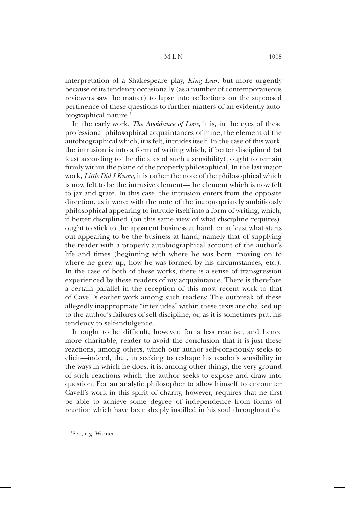interpretation of a Shakespeare play, *King Lear*, but more urgently because of its tendency occasionally (as a number of contemporaneous reviewers saw the matter) to lapse into reflections on the supposed pertinence of these questions to further matters of an evidently autobiographical nature. $<sup>1</sup>$ </sup>

In the early work, *The Avoidance of Love*, it is, in the eyes of these professional philosophical acquaintances of mine, the element of the autobiographical which, it is felt, intrudes itself. In the case of this work, the intrusion is into a form of writing which, if better disciplined (at least according to the dictates of such a sensibility), ought to remain firmly within the plane of the properly philosophical. In the last major work, *Little Did I Know*, it is rather the note of the philosophical which is now felt to be the intrusive element—the element which is now felt to jar and grate. In this case, the intrusion enters from the opposite direction, as it were: with the note of the inappropriately ambitiously philosophical appearing to intrude itself into a form of writing, which, if better disciplined (on this same view of what discipline requires), ought to stick to the apparent business at hand, or at least what starts out appearing to be the business at hand, namely that of supplying the reader with a properly autobiographical account of the author's life and times (beginning with where he was born, moving on to where he grew up, how he was formed by his circumstances, etc.). In the case of both of these works, there is a sense of transgression experienced by these readers of my acquaintance. There is therefore a certain parallel in the reception of this most recent work to that of Cavell's earlier work among such readers: The outbreak of these allegedly inappropriate "interludes" within these texts are chalked up to the author's failures of self-discipline, or, as it is sometimes put, his tendency to self-indulgence.

It ought to be difficult, however, for a less reactive, and hence more charitable, reader to avoid the conclusion that it is just these reactions, among others, which our author self-consciously seeks to elicit—indeed, that, in seeking to reshape his reader's sensibility in the ways in which he does, it is, among other things, the very ground of such reactions which the author seeks to expose and draw into question. For an analytic philosopher to allow himself to encounter Cavell's work in this spirit of charity, however, requires that he first be able to achieve some degree of independence from forms of reaction which have been deeply instilled in his soul throughout the

1 See, e.g. Warner.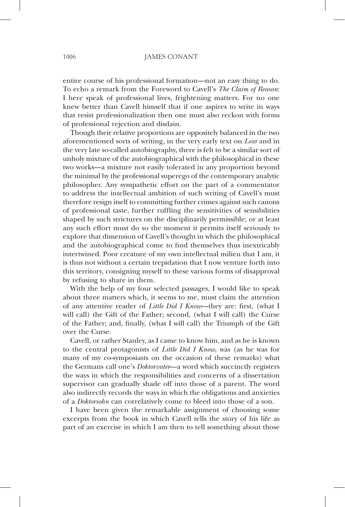entire course of his professional formation—not an easy thing to do. To echo a remark from the Foreword to Cavell's *The Claim of Reason*: I here speak of professional lives, frightening matters. For no one knew better than Cavell himself that if one aspires to write in ways that resist professionalization then one must also reckon with forms of professional rejection and disdain.

Though their relative proportions are oppositely balanced in the two aforementioned sorts of writing, in the very early text on *Lear* and in the very late so-called autobiography, there is felt to be a similar sort of unholy mixture of the autobiographical with the philosophical in these two works—a mixture not easily tolerated in any proportion beyond the minimal by the professional superego of the contemporary analytic philosopher. Any sympathetic effort on the part of a commentator to address the intellectual ambition of such writing of Cavell's must therefore resign itself to committing further crimes against such canons of professional taste, further ruffling the sensitivities of sensibilities shaped by such strictures on the disciplinarily permissible; or at least any such effort must do so the moment it permits itself seriously to explore that dimension of Cavell's thought in which the philosophical and the autobiographical come to find themselves thus inextricably intertwined. Poor creature of my own intellectual milieu that I am, it is thus not without a certain trepidation that I now venture forth into this territory, consigning myself to these various forms of disapproval by refusing to share in them.

With the help of my four selected passages, I would like to speak about three matters which, it seems to me, must claim the attention of any attentive reader of *Little Did I Know*—they are: first, (what I will call) the Gift of the Father; second, (what I will call) the Curse of the Father; and, finally, (what I will call) the Triumph of the Gift over the Curse.

Cavell, or rather Stanley, as I came to know him, and as he is known to the central protagonists of *Little Did I Know*, was (as he was for many of my co-symposiasts on the occasion of these remarks) what the Germans call one's *Doktorvater*—a word which succinctly registers the ways in which the responsibilities and concerns of a dissertation supervisor can gradually shade off into those of a parent. The word also indirectly records the ways in which the obligations and anxieties of a *Doktorsohn* can correlatively come to bleed into those of a son.

I have been given the remarkable assignment of choosing some excerpts from the book in which Cavell tells the story of his life as part of an exercise in which I am then to tell something about those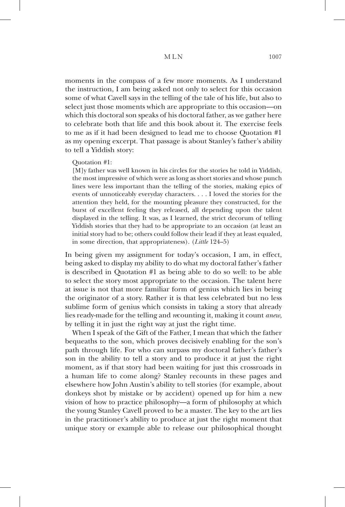moments in the compass of a few more moments. As I understand the instruction, I am being asked not only to select for this occasion some of what Cavell says in the telling of the tale of his life, but also to select just those moments which are appropriate to this occasion—on which this doctoral son speaks of his doctoral father, as we gather here to celebrate both that life and this book about it. The exercise feels to me as if it had been designed to lead me to choose Quotation #1 as my opening excerpt. That passage is about Stanley's father's ability to tell a Yiddish story:

# Quotation #1:

[M]y father was well known in his circles for the stories he told in Yiddish, the most impressive of which were as long as short stories and whose punch lines were less important than the telling of the stories, making epics of events of unnoticeably everyday characters. . . . I loved the stories for the attention they held, for the mounting pleasure they constructed, for the burst of excellent feeling they released, all depending upon the talent displayed in the telling. It was, as I learned, the strict decorum of telling Yiddish stories that they had to be appropriate to an occasion (at least an initial story had to be; others could follow their lead if they at least equaled, in some direction, that appropriateness). (*Little* 124–5)

In being given my assignment for today's occasion, I am, in effect, being asked to display my ability to do what my doctoral father's father is described in Quotation #1 as being able to do so well: to be able to select the story most appropriate to the occasion. The talent here at issue is not that more familiar form of genius which lies in being the originator of a story. Rather it is that less celebrated but no less sublime form of genius which consists in taking a story that already lies ready-made for the telling and *re*counting it, making it count *anew*, by telling it in just the right way at just the right time.

When I speak of the Gift of the Father, I mean that which the father bequeaths to the son, which proves decisively enabling for the son's path through life. For who can surpass my doctoral father's father's son in the ability to tell a story and to produce it at just the right moment, as if that story had been waiting for just this crossroads in a human life to come along? Stanley recounts in these pages and elsewhere how John Austin's ability to tell stories (for example, about donkeys shot by mistake or by accident) opened up for him a new vision of how to practice philosophy—a form of philosophy at which the young Stanley Cavell proved to be a master. The key to the art lies in the practitioner's ability to produce at just the right moment that unique story or example able to release our philosophical thought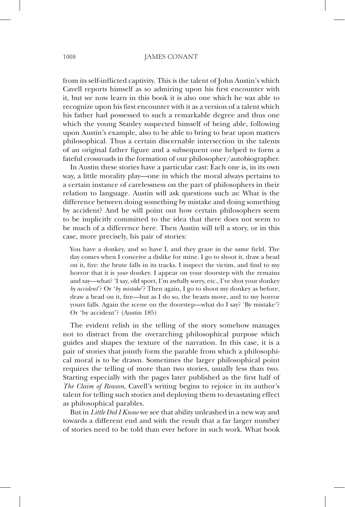from its self-inflicted captivity. This is the talent of John Austin's which Cavell reports himself as so admiring upon his first encounter with it, but we now learn in this book it is also one which he was able to recognize upon his first encounter with it as a version of a talent which his father had possessed to such a remarkable degree and thus one which the young Stanley suspected himself of being able, following upon Austin's example, also to be able to bring to bear upon matters philosophical. Thus a certain discernable intersection in the talents of an original father figure and a subsequent one helped to form a fateful crossroads in the formation of our philosopher/autobiographer.

In Austin these stories have a particular cast: Each one is, in its own way, a little morality play—one in which the moral always pertains to a certain instance of carelessness on the part of philosophers in their relation to language. Austin will ask questions such as: What is the difference between doing something by mistake and doing something by accident? And he will point out how certain philosophers seem to be implicitly committed to the idea that there does not seem to be much of a difference here. Then Austin will tell a story, or in this case, more precisely, his pair of stories:

You have a donkey, and so have I, and they graze in the same field. The day comes when I conceive a dislike for mine. I go to shoot it, draw a bead on it, fire: the brute falls in its tracks. I inspect the victim, and find to my horror that it is *your* donkey. I appear on your doorstep with the remains and say—what? 'I say, old sport, I'm awfully sorry, etc., I've shot your donkey *by accident*'? Or '*by mistake*'? Then again, I go to shoot my donkey as before, draw a bead on it, fire—but as I do so, the beasts move, and to my horror yours falls. Again the scene on the doorstep—what do I say? 'By mistake'? Or 'by accident'? (Austin 185)

The evident relish in the telling of the story somehow manages not to distract from the overarching philosophical purpose which guides and shapes the texture of the narration. In this case, it is a pair of stories that jointly form the parable from which a philosophical moral is to be drawn. Sometimes the larger philosophical point requires the telling of more than two stories, usually less than two. Starting especially with the pages later published as the first half of *The Claim of Reason*, Cavell's writing begins to rejoice in its author's talent for telling such stories and deploying them to devastating effect as philosophical parables.

But in *Little Did I Know* we see that ability unleashed in a new way and towards a different end and with the result that a far larger number of stories need to be told than ever before in such work. What book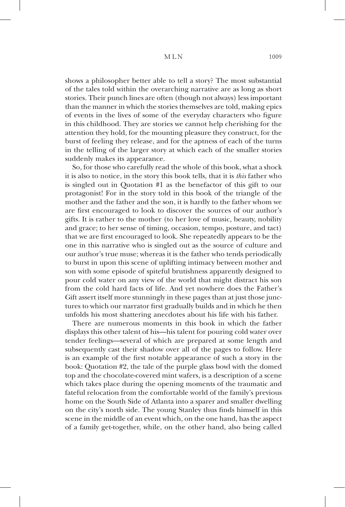# M L N 1009

shows a philosopher better able to tell a story? The most substantial of the tales told within the overarching narrative are as long as short stories. Their punch lines are often (though not always) less important than the manner in which the stories themselves are told, making epics of events in the lives of some of the everyday characters who figure in this childhood. They are stories we cannot help cherishing for the attention they hold, for the mounting pleasure they construct, for the burst of feeling they release, and for the aptness of each of the turns in the telling of the larger story at which each of the smaller stories suddenly makes its appearance.

So, for those who carefully read the whole of this book, what a shock it is also to notice, in the story this book tells, that it is *this* father who is singled out in Quotation #1 as the benefactor of this gift to our protagonist! For in the story told in this book of the triangle of the mother and the father and the son, it is hardly to the father whom we are first encouraged to look to discover the sources of our author's gifts. It is rather to the mother (to her love of music, beauty, nobility and grace; to her sense of timing, occasion, tempo, posture, and tact) that we are first encouraged to look. She repeatedly appears to be the one in this narrative who is singled out as the source of culture and our author's true muse; whereas it is the father who tends periodically to burst in upon this scene of uplifting intimacy between mother and son with some episode of spiteful brutishness apparently designed to pour cold water on any view of the world that might distract his son from the cold hard facts of life. And yet nowhere does the Father's Gift assert itself more stunningly in these pages than at just those junctures to which our narrator first gradually builds and in which he then unfolds his most shattering anecdotes about his life with his father.

There are numerous moments in this book in which the father displays this other talent of his—his talent for pouring cold water over tender feelings—several of which are prepared at some length and subsequently cast their shadow over all of the pages to follow. Here is an example of the first notable appearance of such a story in the book: Quotation #2, the tale of the purple glass bowl with the domed top and the chocolate-covered mint wafers, is a description of a scene which takes place during the opening moments of the traumatic and fateful relocation from the comfortable world of the family's previous home on the South Side of Atlanta into a sparer and smaller dwelling on the city's north side. The young Stanley thus finds himself in this scene in the middle of an event which, on the one hand, has the aspect of a family get-together, while, on the other hand, also being called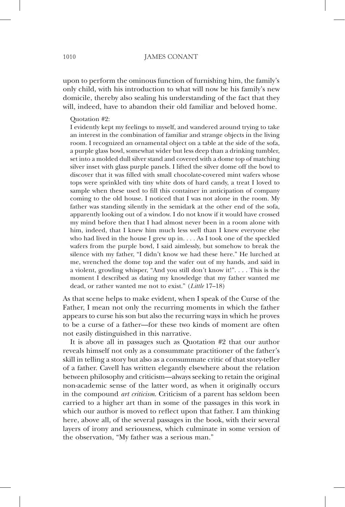upon to perform the ominous function of furnishing him, the family's only child, with his introduction to what will now be his family's new domicile, thereby also sealing his understanding of the fact that they will, indeed, have to abandon their old familiar and beloved home.

#### Quotation #2:

I evidently kept my feelings to myself, and wandered around trying to take an interest in the combination of familiar and strange objects in the living room. I recognized an ornamental object on a table at the side of the sofa, a purple glass bowl, somewhat wider but less deep than a drinking tumbler, set into a molded dull silver stand and covered with a dome top of matching silver inset with glass purple panels. I lifted the silver dome off the bowl to discover that it was filled with small chocolate-covered mint wafers whose tops were sprinkled with tiny white dots of hard candy, a treat I loved to sample when these used to fill this container in anticipation of company coming to the old house. I noticed that I was not alone in the room. My father was standing silently in the semidark at the other end of the sofa, apparently looking out of a window. I do not know if it would have crossed my mind before then that I had almost never been in a room alone with him, indeed, that I knew him much less well than I knew everyone else who had lived in the house I grew up in. . . . As I took one of the speckled wafers from the purple bowl, I said aimlessly, but somehow to break the silence with my father, "I didn't know we had these here." He lurched at me, wrenched the dome top and the wafer out of my hands, and said in a violent, growling whisper, "And you still don't know it!". . . . This is the moment I described as dating my knowledge that my father wanted me dead, or rather wanted me not to exist." (*Little* 17–18)

As that scene helps to make evident, when I speak of the Curse of the Father, I mean not only the recurring moments in which the father appears to curse his son but also the recurring ways in which he proves to be a curse of a father—for these two kinds of moment are often not easily distinguished in this narrative.

It is above all in passages such as Quotation #2 that our author reveals himself not only as a consummate practitioner of the father's skill in telling a story but also as a consummate critic of that story-teller of a father. Cavell has written elegantly elsewhere about the relation between philosophy and criticism—always seeking to retain the original non-academic sense of the latter word, as when it originally occurs in the compound *art criticism*. Criticism of a parent has seldom been carried to a higher art than in some of the passages in this work in which our author is moved to reflect upon that father. I am thinking here, above all, of the several passages in the book, with their several layers of irony and seriousness, which culminate in some version of the observation, "My father was a serious man."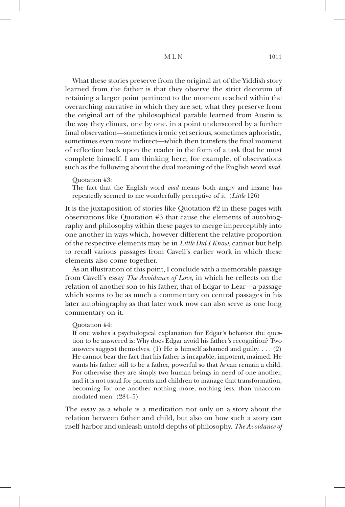What these stories preserve from the original art of the Yiddish story learned from the father is that they observe the strict decorum of retaining a larger point pertinent to the moment reached within the overarching narrative in which they are set; what they preserve from the original art of the philosophical parable learned from Austin is the way they climax, one by one, in a point underscored by a further final observation—sometimes ironic yet serious, sometimes aphoristic, sometimes even more indirect—which then transfers the final moment of reflection back upon the reader in the form of a task that he must complete himself. I am thinking here, for example, of observations such as the following about the dual meaning of the English word *mad*.

## Quotation #3:

The fact that the English word *mad* means both angry and insane has repeatedly seemed to me wonderfully perceptive of it. (*Little* 126)

It is the juxtaposition of stories like Quotation #2 in these pages with observations like Quotation #3 that cause the elements of autobiography and philosophy within these pages to merge imperceptibly into one another in ways which, however different the relative proportion of the respective elements may be in *Little Did I Know*, cannot but help to recall various passages from Cavell's earlier work in which these elements also come together.

As an illustration of this point, I conclude with a memorable passage from Cavell's essay *The Avoidance of Love*, in which he reflects on the relation of another son to his father, that of Edgar to Lear—a passage which seems to be as much a commentary on central passages in his later autobiography as that later work now can also serve as one long commentary on it.

#### Quotation #4:

If one wishes a psychological explanation for Edgar's behavior the question to be answered is: Why does Edgar avoid his father's recognition? Two answers suggest themselves. (1) He is himself ashamed and guilty.  $\dots$  (2) He cannot bear the fact that his father is incapable, impotent, maimed. He wants his father still to be a father, powerful so that *he* can remain a child. For otherwise they are simply two human beings in need of one another, and it is not usual for parents and children to manage that transformation, becoming for one another nothing more, nothing less, than unaccommodated men. (284–5)

The essay as a whole is a meditation not only on a story about the relation between father and child, but also on how such a story can itself harbor and unleash untold depths of philosophy. *The Avoidance of*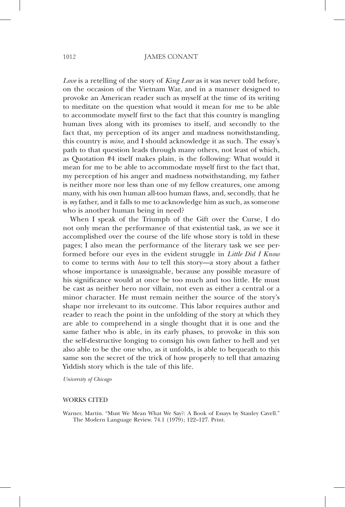*Love* is a retelling of the story of *King Lear* as it was never told before, on the occasion of the Vietnam War, and in a manner designed to provoke an American reader such as myself at the time of its writing to meditate on the question what would it mean for me to be able to accommodate myself first to the fact that this country is mangling human lives along with its promises to itself, and secondly to the fact that, my perception of its anger and madness notwithstanding, this country is *mine*, and I should acknowledge it as such. The essay's path to that question leads through many others, not least of which, as Quotation #4 itself makes plain, is the following: What would it mean for me to be able to accommodate myself first to the fact that, my perception of his anger and madness notwithstanding, my father is neither more nor less than one of my fellow creatures, one among many, with his own human all-too human flaws, and, secondly, that he is *my* father, and it falls to me to acknowledge him as such, as someone who is another human being in need?

When I speak of the Triumph of the Gift over the Curse, I do not only mean the performance of that existential task, as we see it accomplished over the course of the life whose story is told in these pages; I also mean the performance of the literary task we see performed before our eyes in the evident struggle in *Little Did I Know* to come to terms with *how* to tell this story—a story about a father whose importance is unassignable, because any possible measure of his significance would at once be too much and too little. He must be cast as neither hero nor villain, not even as either a central or a minor character. He must remain neither the source of the story's shape nor irrelevant to its outcome. This labor requires author and reader to reach the point in the unfolding of the story at which they are able to comprehend in a single thought that it is one and the same father who is able, in its early phases, to provoke in this son the self-destructive longing to consign his own father to hell and yet also able to be the one who, as it unfolds, is able to bequeath to this same son the secret of the trick of how properly to tell that amazing Yiddish story which is the tale of this life.

*University of Chicago*

### WORKS CITED

Warner, Martin. "Must We Mean What We Say?: A Book of Essays by Stanley Cavell." The Modern Language Review. 74.1 (1979); 122–127. Print.